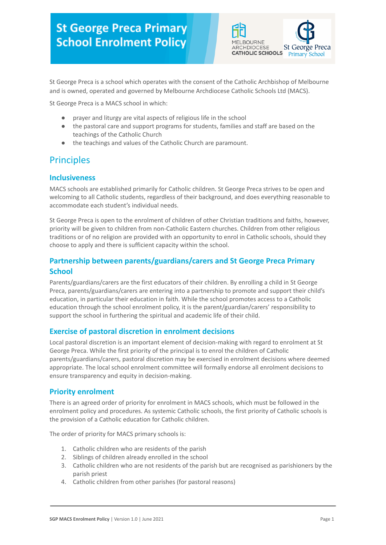

St George Preca is a school which operates with the consent of the Catholic Archbishop of Melbourne and is owned, operated and governed by Melbourne Archdiocese Catholic Schools Ltd (MACS).

St George Preca is a MACS school in which:

- prayer and liturgy are vital aspects of religious life in the school
- the pastoral care and support programs for students, families and staff are based on the teachings of the Catholic Church
- the teachings and values of the Catholic Church are paramount.

## **Principles**

### **Inclusiveness**

MACS schools are established primarily for Catholic children. St George Preca strives to be open and welcoming to all Catholic students, regardless of their background, and does everything reasonable to accommodate each student's individual needs.

St George Preca is open to the enrolment of children of other Christian traditions and faiths, however, priority will be given to children from non-Catholic Eastern churches. Children from other religious traditions or of no religion are provided with an opportunity to enrol in Catholic schools, should they choose to apply and there is sufficient capacity within the school.

### **Partnership between parents/guardians/carers and St George Preca Primary School**

Parents/guardians/carers are the first educators of their children. By enrolling a child in St George Preca, parents/guardians/carers are entering into a partnership to promote and support their child's education, in particular their education in faith. While the school promotes access to a Catholic education through the school enrolment policy, it is the parent/guardian/carers' responsibility to support the school in furthering the spiritual and academic life of their child.

#### **Exercise of pastoral discretion in enrolment decisions**

Local pastoral discretion is an important element of decision-making with regard to enrolment at St George Preca. While the first priority of the principal is to enrol the children of Catholic parents/guardians/carers, pastoral discretion may be exercised in enrolment decisions where deemed appropriate. The local school enrolment committee will formally endorse all enrolment decisions to ensure transparency and equity in decision-making.

#### **Priority enrolment**

There is an agreed order of priority for enrolment in MACS schools, which must be followed in the enrolment policy and procedures. As systemic Catholic schools, the first priority of Catholic schools is the provision of a Catholic education for Catholic children.

The order of priority for MACS primary schools is:

- 1. Catholic children who are residents of the parish
- 2. Siblings of children already enrolled in the school
- 3. Catholic children who are not residents of the parish but are recognised as parishioners by the parish priest
- 4. Catholic children from other parishes (for pastoral reasons)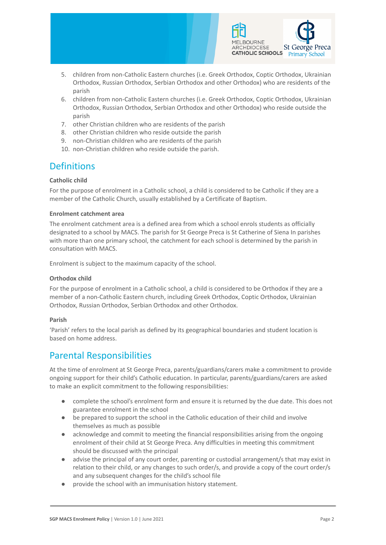

- 5. children from non-Catholic Eastern churches (i.e. Greek Orthodox, Coptic Orthodox, Ukrainian Orthodox, Russian Orthodox, Serbian Orthodox and other Orthodox) who are residents of the parish
- 6. children from non-Catholic Eastern churches (i.e. Greek Orthodox, Coptic Orthodox, Ukrainian Orthodox, Russian Orthodox, Serbian Orthodox and other Orthodox) who reside outside the parish
- 7. other Christian children who are residents of the parish
- 8. other Christian children who reside outside the parish
- 9. non-Christian children who are residents of the parish
- 10. non-Christian children who reside outside the parish.

# **Definitions**

#### **Catholic child**

For the purpose of enrolment in a Catholic school, a child is considered to be Catholic if they are a member of the Catholic Church, usually established by a Certificate of Baptism.

#### **Enrolment catchment area**

The enrolment catchment area is a defined area from which a school enrols students as officially designated to a school by MACS. The parish for St George Preca is St Catherine of Siena In parishes with more than one primary school, the catchment for each school is determined by the parish in consultation with MACS.

Enrolment is subject to the maximum capacity of the school.

#### **Orthodox child**

For the purpose of enrolment in a Catholic school, a child is considered to be Orthodox if they are a member of a non-Catholic Eastern church, including Greek Orthodox, Coptic Orthodox, Ukrainian Orthodox, Russian Orthodox, Serbian Orthodox and other Orthodox.

#### **Parish**

'Parish' refers to the local parish as defined by its geographical boundaries and student location is based on home address.

### Parental Responsibilities

At the time of enrolment at St George Preca, parents/guardians/carers make a commitment to provide ongoing support for their child's Catholic education. In particular, parents/guardians/carers are asked to make an explicit commitment to the following responsibilities:

- complete the school's enrolment form and ensure it is returned by the due date. This does not guarantee enrolment in the school
- be prepared to support the school in the Catholic education of their child and involve themselves as much as possible
- acknowledge and commit to meeting the financial responsibilities arising from the ongoing enrolment of their child at St George Preca. Any difficulties in meeting this commitment should be discussed with the principal
- advise the principal of any court order, parenting or custodial arrangement/s that may exist in relation to their child, or any changes to such order/s, and provide a copy of the court order/s and any subsequent changes for the child's school file
- provide the school with an immunisation history statement.